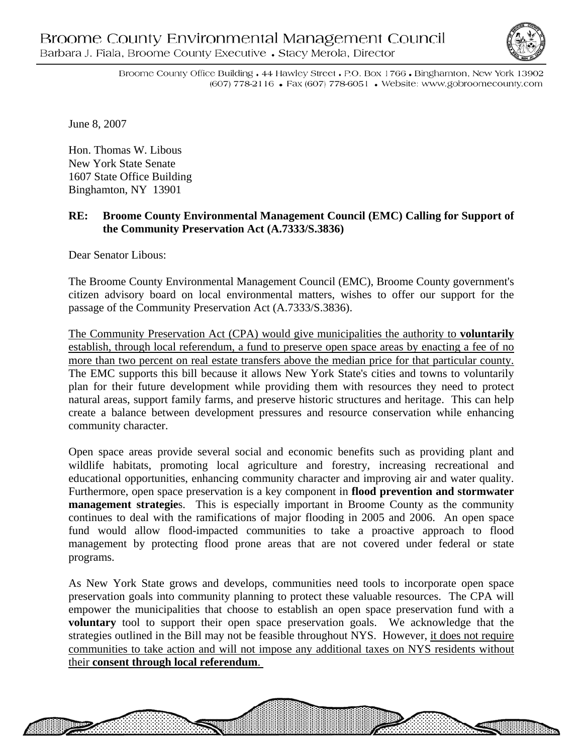

WANNANA

Broome County Office Building • 44 Hawley Street • P.O. Box 1766 • Binghamton, New York 13902 (607) 778-2116 • Fax (607) 778-6051 • Website: www.gobroomecounty.com

June 8, 2007

Hon. Thomas W. Libous New York State Senate 1607 State Office Building Binghamton, NY 13901

## **RE: Broome County Environmental Management Council (EMC) Calling for Support of the Community Preservation Act (A.7333/S.3836)**

Dear Senator Libous:

The Broome County Environmental Management Council (EMC), Broome County government's citizen advisory board on local environmental matters, wishes to offer our support for the passage of the Community Preservation Act (A.7333/S.3836).

The Community Preservation Act (CPA) would give municipalities the authority to **voluntarily** establish, through local referendum, a fund to preserve open space areas by enacting a fee of no more than two percent on real estate transfers above the median price for that particular county. The EMC supports this bill because it allows New York State's cities and towns to voluntarily plan for their future development while providing them with resources they need to protect natural areas, support family farms, and preserve historic structures and heritage.This can help create a balance between development pressures and resource conservation while enhancing community character.

Open space areas provide several social and economic benefits such as providing plant and wildlife habitats, promoting local agriculture and forestry, increasing recreational and educational opportunities, enhancing community character and improving air and water quality. Furthermore, open space preservation is a key component in **flood prevention and stormwater management strategies.** This is especially important in Broome County as the community continues to deal with the ramifications of major flooding in 2005 and 2006. An open space fund would allow flood-impacted communities to take a proactive approach to flood management by protecting flood prone areas that are not covered under federal or state programs.

As New York State grows and develops, communities need tools to incorporate open space preservation goals into community planning to protect these valuable resources. The CPA will empower the municipalities that choose to establish an open space preservation fund with a **voluntary** tool to support their open space preservation goals. We acknowledge that the strategies outlined in the Bill may not be feasible throughout NYS. However, it does not require communities to take action and will not impose any additional taxes on NYS residents without their **consent through local referendum**.